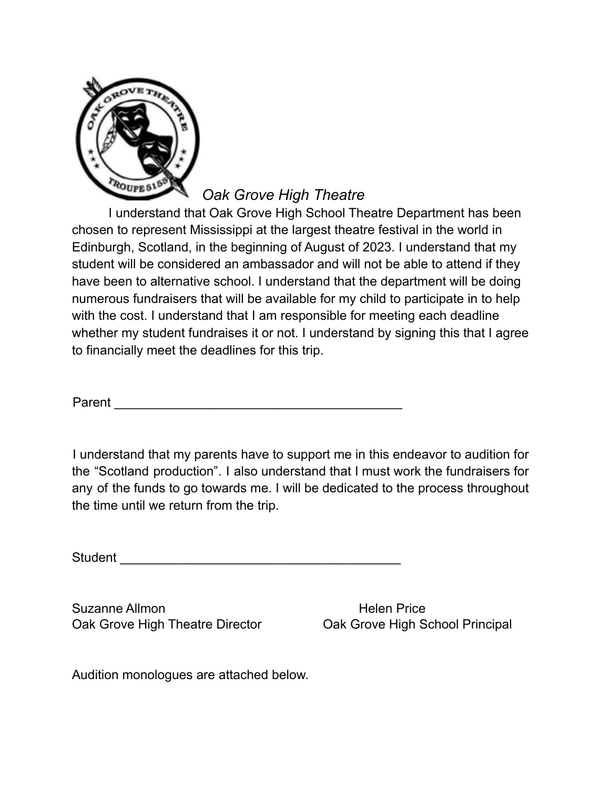

*Oak Grove High Theatre*

I understand that Oak Grove High School Theatre Department has been chosen to represent Mississippi at the largest theatre festival in the world in Edinburgh, Scotland, in the beginning of August of 2023. I understand that my student will be considered an ambassador and will not be able to attend if they have been to alternative school. I understand that the department will be doing numerous fundraisers that will be available for my child to participate in to help with the cost. I understand that I am responsible for meeting each deadline whether my student fundraises it or not. I understand by signing this that I agree to financially meet the deadlines for this trip.

Parent **Example 20** and 20 and 20 and 20 and 20 and 20 and 20 and 20 and 20 and 20 and 20 and 20 and 20 and 20 and 20 and 20 and 20 and 20 and 20 and 20 and 20 and 20 and 20 and 20 and 20 and 20 and 20 and 20 and 20 and 20

I understand that my parents have to support me in this endeavor to audition for the "Scotland production". I also understand that I must work the fundraisers for any of the funds to go towards me. I will be dedicated to the process throughout the time until we return from the trip.

Student and the student of the student of the student of the student of the student of the student of the studies of the studies of the studies of the studies of the studies of the studies of the studies of the studies of

Suzanne Allmon **Helen Price** Oak Grove High Theatre Director **Oak Grove High School Principal** 

Audition monologues are attached below.